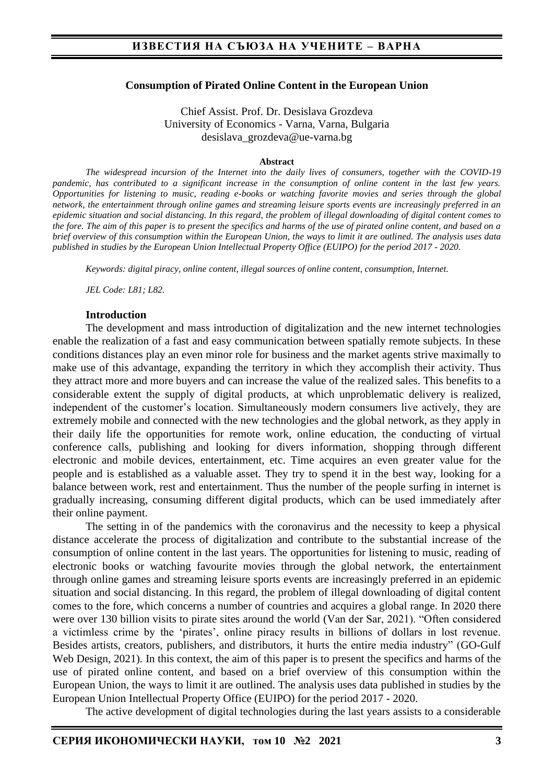#### **Consumption of Pirated Online Content in the European Union**

Chief Assist. Prof. Dr. Desislava Grozdeva University of Economics - Varna, Varna, Bulgaria desislava\_grozdeva@ue-varna.bg

#### **Abstract**

*The widespread incursion of the Internet into the daily lives of consumers, together with the COVID-19 pandemic, has contributed to a significant increase in the consumption of online content in the last few years. Opportunities for listening to music, reading e-books or watching favorite movies and series through the global network, the entertainment through online games and streaming leisure sports events are increasingly preferred in an epidemic situation and social distancing. In this regard, the problem of illegal downloading of digital content comes to the fore. The aim of this paper is to present the specifics and harms of the use of pirated online content, and based on a brief overview of this consumption within the European Union, the ways to limit it are outlined. The analysis uses data published in studies by the European Union Intellectual Property Office (EUIPO) for the period 2017 - 2020.*

*Keywords: digital piracy, online content, illegal sources of online content, consumption, Internet.*

*JEL Code: L81; L82.*

#### **Introduction**

The development and mass introduction of digitalization and the new internet technologies enable the realization of a fast and easy communication between spatially remote subjects. In these conditions distances play an even minor role for business and the market agents strive maximally to make use of this advantage, expanding the territory in which they accomplish their activity. Thus they attract more and more buyers and can increase the value of the realized sales. This benefits to a considerable extent the supply of digital products, at which unproblematic delivery is realized, independent of the customer's location. Simultaneously modern consumers live actively, they are extremely mobile and connected with the new technologies and the global network, as they apply in their daily life the opportunities for remote work, online education, the conducting of virtual conference calls, publishing and looking for divers information, shopping through different electronic and mobile devices, entertainment, etc. Time acquires an even greater value for the people and is established as a valuable asset. They try to spend it in the best way, looking for a balance between work, rest and entertainment. Thus the number of the people surfing in internet is gradually increasing, consuming different digital products, which can be used immediately after their online payment.

The setting in of the pandemics with the coronavirus and the necessity to keep a physical distance accelerate the process of digitalization and contribute to the substantial increase of the consumption of online content in the last years. The opportunities for listening to music, reading of electronic books or watching favourite movies through the global network, the entertainment through online games and streaming leisure sports events are increasingly preferred in an epidemic situation and social distancing. In this regard, the problem of illegal downloading of digital content comes to the fore, which concerns a number of countries and acquires a global range. In 2020 there were over 130 billion visits to pirate sites around the world (Van der Sar, 2021). "Often considered a victimless crime by the 'pirates', online piracy results in billions of dollars in lost revenue. Besides artists, creators, publishers, and distributors, it hurts the entire media industry" (GO-Gulf Web Design, 2021). In this context, the aim of this paper is to present the specifics and harms of the use of pirated online content, and based on a brief overview of this consumption within the European Union, the ways to limit it are outlined. The analysis uses data published in studies by the European Union Intellectual Property Office (EUIPO) for the period 2017 - 2020.

The active development of digital technologies during the last years assists to a considerable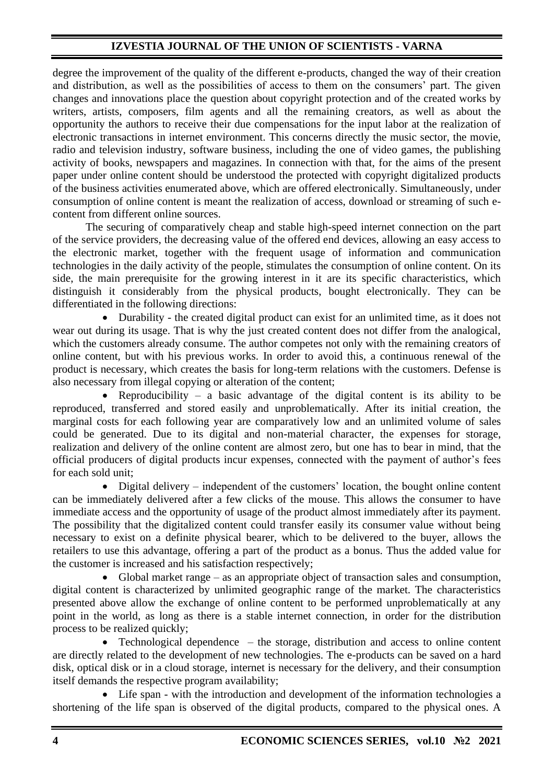degree the improvement of the quality of the different e-products, changed the way of their creation and distribution, as well as the possibilities of access to them on the consumers' part. The given changes and innovations place the question about copyright protection and of the created works by writers, artists, composers, film agents and all the remaining creators, as well as about the opportunity the authors to receive their due compensations for the input labor at the realization of electronic transactions in internet environment. This concerns directly the music sector, the movie, radio and television industry, software business, including the one of video games, the publishing activity of books, newspapers and magazines. In connection with that, for the aims of the present paper under online content should be understood the protected with copyright digitalized products of the business activities enumerated above, which are offered electronically. Simultaneously, under consumption of online content is meant the realization of access, download or streaming of such econtent from different online sources.

The securing of comparatively cheap and stable high-speed internet connection on the part of the service providers, the decreasing value of the offered end devices, allowing an easy access to the electronic market, together with the frequent usage of information and communication technologies in the daily activity of the people, stimulates the consumption of online content. On its side, the main prerequisite for the growing interest in it are its specific characteristics, which distinguish it considerably from the physical products, bought electronically. They can be differentiated in the following directions:

• Durability - the created digital product can exist for an unlimited time, as it does not wear out during its usage. That is why the just created content does not differ from the analogical, which the customers already consume. The author competes not only with the remaining creators of online content, but with his previous works. In order to avoid this, a continuous renewal of the product is necessary, which creates the basis for long-term relations with the customers. Defense is also necessary from illegal copying or alteration of the content;

Reproducibility – a basic advantage of the digital content is its ability to be reproduced, transferred and stored easily and unproblematically. After its initial creation, the marginal costs for each following year are comparatively low and an unlimited volume of sales could be generated. Due to its digital and non-material character, the expenses for storage, realization and delivery of the online content are almost zero, but one has to bear in mind, that the official producers of digital products incur expenses, connected with the payment of author's fees for each sold unit;

• Digital delivery – independent of the customers' location, the bought online content can be immediately delivered after a few clicks of the mouse. This allows the consumer to have immediate access and the opportunity of usage of the product almost immediately after its payment. The possibility that the digitalized content could transfer easily its consumer value without being necessary to exist on a definite physical bearer, which to be delivered to the buyer, allows the retailers to use this advantage, offering a part of the product as a bonus. Thus the added value for the customer is increased and his satisfaction respectively;

• Global market range – as an appropriate object of transaction sales and consumption, digital content is characterized by unlimited geographic range of the market. The characteristics presented above allow the exchange of online content to be performed unproblematically at any point in the world, as long as there is a stable internet connection, in order for the distribution process to be realized quickly;

• Technological dependence – the storage, distribution and access to online content are directly related to the development of new technologies. The e-products can be saved on a hard disk, optical disk or in a cloud storage, internet is necessary for the delivery, and their consumption itself demands the respective program availability;

• Life span - with the introduction and development of the information technologies a shortening of the life span is observed of the digital products, compared to the physical ones. A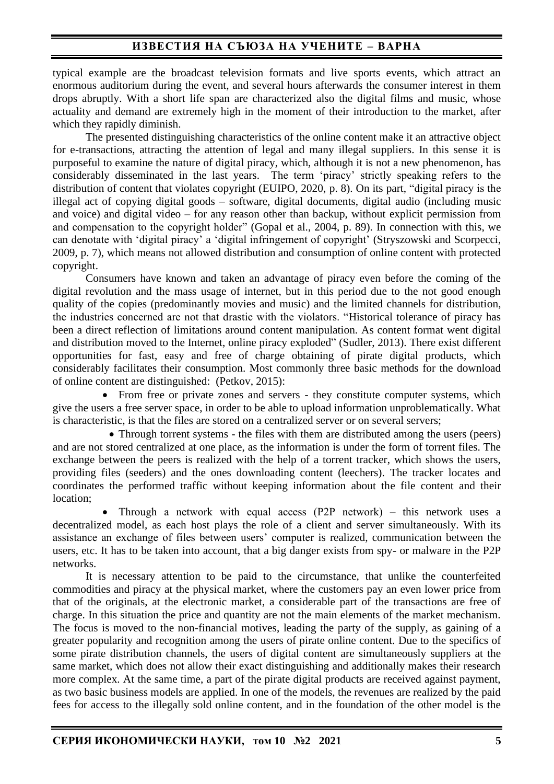## **ИЗВЕСТИЯ НА СЪЮЗА НА УЧЕНИТЕ – ВАРНА**

typical example are the broadcast television formats and live sports events, which attract an enormous auditorium during the event, and several hours afterwards the consumer interest in them drops abruptly. With a short life span are characterized also the digital films and music, whose actuality and demand are extremely high in the moment of their introduction to the market, after which they rapidly diminish.

The presented distinguishing characteristics of the online content make it an attractive object for e-transactions, attracting the attention of legal and many illegal suppliers. In this sense it is purposeful to examine the nature of digital piracy, which, although it is not a new phenomenon, has considerably disseminated in the last years. The term 'piracy' strictly speaking refers to the distribution of content that violates copyright (EUIPO, 2020, p. 8). On its part, "digital piracy is the illegal act of copying digital goods – software, digital documents, digital audio (including music and voice) and digital video – for any reason other than backup, without explicit permission from and compensation to the copyright holder" (Gopal et al., 2004, p. 89). In connection with this, we can denotate with 'digital piracy' a 'digital infringement of copyright' (Stryszowski and Scorpecci, 2009, p. 7), which means not allowed distribution and consumption of online content with protected copyright.

Consumers have known and taken an advantage of piracy even before the coming of the digital revolution and the mass usage of internet, but in this period due to the not good enough quality of the copies (predominantly movies and music) and the limited channels for distribution, the industries concerned are not that drastic with the violators. "Historical tolerance of piracy has been a direct reflection of limitations around content manipulation. As content format went digital and distribution moved to the Internet, online piracy exploded" (Sudler, 2013). There exist different opportunities for fast, easy and free of charge obtaining of pirate digital products, which considerably facilitates their consumption. Most commonly three basic methods for the download of online content are distinguished: (Petkov, 2015):

• From free or private zones and servers - they constitute computer systems, which give the users a free server space, in order to be able to upload information unproblematically. What is characteristic, is that the files are stored on a centralized server or on several servers;

• Through torrent systems - the files with them are distributed among the users (peers) and are not stored centralized at one place, as the information is under the form of torrent files. The exchange between the peers is realized with the help of a torrent tracker, which shows the users, providing files (seeders) and the ones downloading content (leechers). The tracker locates and coordinates the performed traffic without keeping information about the file content and their location;

• Through a network with equal access (P2P network) – this network uses a decentralized model, as each host plays the role of a client and server simultaneously. With its assistance an exchange of files between users' computer is realized, communication between the users, etc. It has to be taken into account, that a big danger exists from spy- or malware in the P2P networks.

It is necessary attention to be paid to the circumstance, that unlike the counterfeited commodities and piracy at the physical market, where the customers pay an even lower price from that of the originals, at the electronic market, a considerable part of the transactions are free of charge. In this situation the price and quantity are not the main elements of the market mechanism. The focus is moved to the non-financial motives, leading the party of the supply, as gaining of a greater popularity and recognition among the users of pirate online content. Due to the specifics of some pirate distribution channels, the users of digital content are simultaneously suppliers at the same market, which does not allow their exact distinguishing and additionally makes their research more complex. At the same time, a part of the pirate digital products are received against payment, as two basic business models are applied. In one of the models, the revenues are realized by the paid fees for access to the illegally sold online content, and in the foundation of the other model is the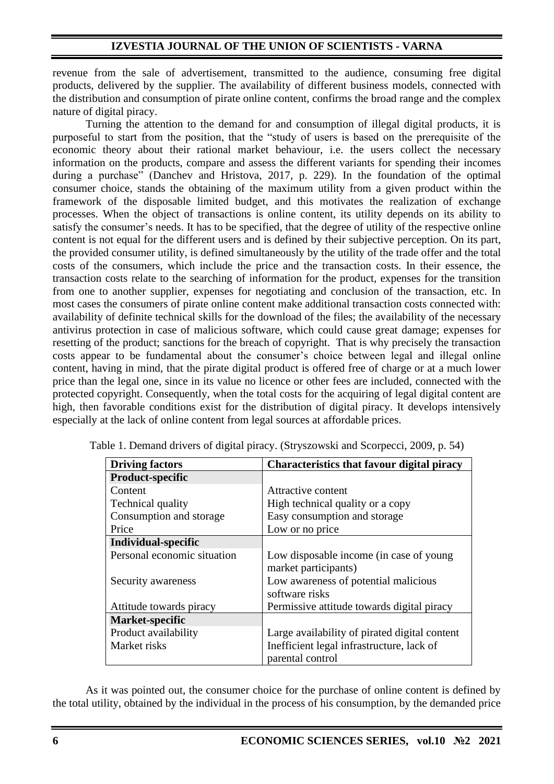revenue from the sale of advertisement, transmitted to the audience, consuming free digital products, delivered by the supplier. The availability of different business models, connected with the distribution and consumption of pirate online content, confirms the broad range and the complex nature of digital piracy.

Turning the attention to the demand for and consumption of illegal digital products, it is purposeful to start from the position, that the "study of users is based on the prerequisite of the economic theory about their rational market behaviour, i.e. the users collect the necessary information on the products, compare and assess the different variants for spending their incomes during a purchase" (Danchev and Hristova, 2017, p. 229). In the foundation of the optimal consumer choice, stands the obtaining of the maximum utility from a given product within the framework of the disposable limited budget, and this motivates the realization of exchange processes. When the object of transactions is online content, its utility depends on its ability to satisfy the consumer's needs. It has to be specified, that the degree of utility of the respective online content is not equal for the different users and is defined by their subjective perception. On its part, the provided consumer utility, is defined simultaneously by the utility of the trade offer and the total costs of the consumers, which include the price and the transaction costs. In their essence, the transaction costs relate to the searching of information for the product, expenses for the transition from one to another supplier, expenses for negotiating and conclusion of the transaction, etc. In most cases the consumers of pirate online content make additional transaction costs connected with: availability of definite technical skills for the download of the files; the availability of the necessary antivirus protection in case of malicious software, which could cause great damage; expenses for resetting of the product; sanctions for the breach of copyright. That is why precisely the transaction costs appear to be fundamental about the consumer's choice between legal and illegal online content, having in mind, that the pirate digital product is offered free of charge or at a much lower price than the legal one, since in its value no licence or other fees are included, connected with the protected copyright. Consequently, when the total costs for the acquiring of legal digital content are high, then favorable conditions exist for the distribution of digital piracy. It develops intensively especially at the lack of online content from legal sources at affordable prices.

| <b>Driving factors</b>      | <b>Characteristics that favour digital piracy</b> |
|-----------------------------|---------------------------------------------------|
| Product-specific            |                                                   |
| Content                     | Attractive content                                |
| Technical quality           | High technical quality or a copy                  |
| Consumption and storage     | Easy consumption and storage                      |
| Price                       | Low or no price                                   |
| <b>Individual-specific</b>  |                                                   |
| Personal economic situation | Low disposable income (in case of young           |
|                             | market participants)                              |
| Security awareness          | Low awareness of potential malicious              |
|                             | software risks                                    |
| Attitude towards piracy     | Permissive attitude towards digital piracy        |
| Market-specific             |                                                   |
| Product availability        | Large availability of pirated digital content     |
| Market risks                | Inefficient legal infrastructure, lack of         |
|                             | parental control                                  |

Table 1. Demand drivers of digital piracy. (Stryszowski and Scorpecci, 2009, p. 54)

As it was pointed out, the consumer choice for the purchase of online content is defined by the total utility, obtained by the individual in the process of his consumption, by the demanded price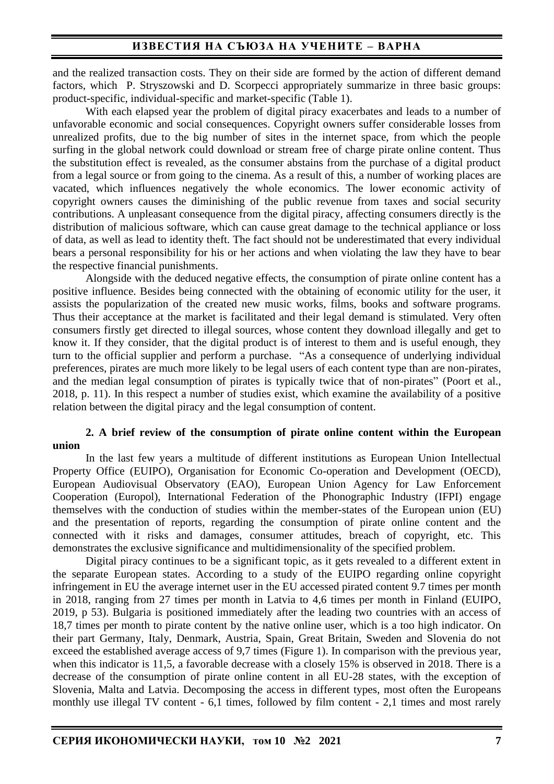and the realized transaction costs. They on their side are formed by the action of different demand factors, which P. Stryszowski and D. Scorpecci appropriately summarize in three basic groups: product-specific, individual-specific and market-specific (Table 1).

With each elapsed year the problem of digital piracy exacerbates and leads to a number of unfavorable economic and social consequences. Copyright owners suffer considerable losses from unrealized profits, due to the big number of sites in the internet space, from which the people surfing in the global network could download or stream free of charge pirate online content. Thus the substitution effect is revealed, as the consumer abstains from the purchase of a digital product from a legal source or from going to the cinema. As a result of this, a number of working places are vacated, which influences negatively the whole economics. The lower economic activity of copyright owners causes the diminishing of the public revenue from taxes and social security contributions. A unpleasant consequence from the digital piracy, affecting consumers directly is the distribution of malicious software, which can cause great damage to the technical appliance or loss of data, as well as lead to identity theft. The fact should not be underestimated that every individual bears a personal responsibility for his or her actions and when violating the law they have to bear the respective financial punishments.

Alongside with the deduced negative effects, the consumption of pirate online content has a positive influence. Besides being connected with the obtaining of economic utility for the user, it assists the popularization of the created new music works, films, books and software programs. Thus their acceptance at the market is facilitated and their legal demand is stimulated. Very often consumers firstly get directed to illegal sources, whose content they download illegally and get to know it. If they consider, that the digital product is of interest to them and is useful enough, they turn to the official supplier and perform a purchase. "As a consequence of underlying individual preferences, pirates are much more likely to be legal users of each content type than are non-pirates, and the median legal consumption of pirates is typically twice that of non-pirates" (Poort et al., 2018, p. 11). In this respect a number of studies exist, which examine the availability of a positive relation between the digital piracy and the legal consumption of content.

#### **2. A brief review of the consumption of pirate online content within the European union**

In the last few years a multitude of different institutions as European Union Intellectual Property Office (EUIPO), Organisation for Economic Co-operation and Development (OECD), European Audiovisual Observatory (EAO), European Union Agency for Law Enforcement Cooperation (Europol), International Federation of the Phonographic Industry (IFPI) engage themselves with the conduction of studies within the member-states of the European union (EU) and the presentation of reports, regarding the consumption of pirate online content and the connected with it risks and damages, consumer attitudes, breach of copyright, etc. This demonstrates the exclusive significance and multidimensionality of the specified problem.

Digital piracy continues to be a significant topic, as it gets revealed to a different extent in the separate European states. According to a study of the EUIPO regarding online copyright infringement in EU the average internet user in the EU accessed pirated content 9.7 times per month in 2018, ranging from 27 times per month in Latvia to 4,6 times per month in Finland (EUIPO, 2019, p 53). Bulgaria is positioned immediately after the leading two countries with an access of 18,7 times per month to pirate content by the native online user, which is a too high indicator. On their part Germany, Italy, Denmark, Austria, Spain, Great Britain, Sweden and Slovenia do not exceed the established average access of 9,7 times (Figure 1). In comparison with the previous year, when this indicator is 11,5, a favorable decrease with a closely 15% is observed in 2018. There is a decrease of the consumption of pirate online content in all EU-28 states, with the exception of Slovenia, Malta and Latvia. Decomposing the access in different types, most often the Europeans monthly use illegal TV content - 6,1 times, followed by film content - 2,1 times and most rarely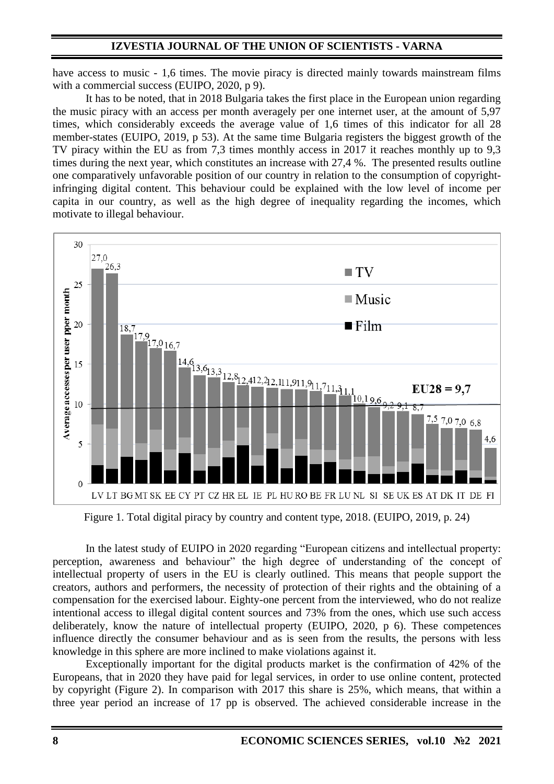have access to music - 1,6 times. The movie piracy is directed mainly towards mainstream films with a commercial success (EUIPO, 2020, p 9).

It has to be noted, that in 2018 Bulgaria takes the first place in the European union regarding the music piracy with an access per month averagely per one internet user, at the amount of 5,97 times, which considerably exceeds the average value of 1,6 times of this indicator for all 28 member-states (EUIPO, 2019, p 53). At the same time Bulgaria registers the biggest growth of the TV piracy within the EU as from 7,3 times monthly access in 2017 it reaches monthly up to 9,3 times during the next year, which constitutes an increase with 27,4 %. The presented results outline one comparatively unfavorable position of our country in relation to the consumption of copyrightinfringing digital content. This behaviour could be explained with the low level of income per capita in our country, as well as the high degree of inequality regarding the incomes, which motivate to illegal behaviour.



Figure 1. Total digital piracy by country and content type, 2018. (EUIPO, 2019, p. 24)

In the latest study of EUIPO in 2020 regarding "European citizens and intellectual property: perception, awareness and behaviour" the high degree of understanding of the concept of intellectual property of users in the EU is clearly outlined. This means that people support the creators, authors and performers, the necessity of protection of their rights and the obtaining of a compensation for the exercised labour. Eighty-one percent from the interviewed, who do not realize intentional access to illegal digital content sources and 73% from the ones, which use such access deliberately, know the nature of intellectual property (EUIPO, 2020, p 6). These competences influence directly the consumer behaviour and as is seen from the results, the persons with less knowledge in this sphere are more inclined to make violations against it.

Exceptionally important for the digital products market is the confirmation of 42% of the Europeans, that in 2020 they have paid for legal services, in order to use online content, protected by copyright (Figure 2). In comparison with 2017 this share is 25%, which means, that within a three year period an increase of 17 pp is observed. The achieved considerable increase in the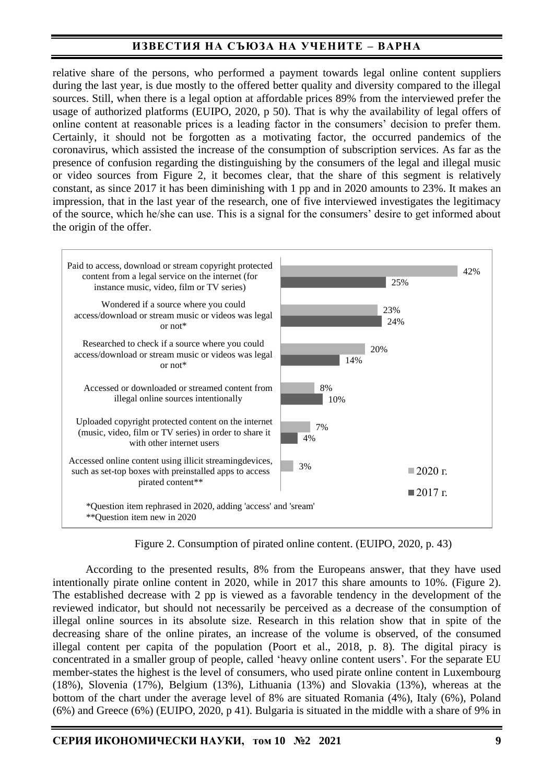# **ИЗВЕСТИЯ НА СЪЮЗА НА УЧЕНИТЕ – ВАРНА**

relative share of the persons, who performed a payment towards legal online content suppliers during the last year, is due mostly to the offered better quality and diversity compared to the illegal sources. Still, when there is a legal option at affordable prices 89% from the interviewed prefer the usage of authorized platforms (EUIPO, 2020, p 50). That is why the availability of legal offers of online content at reasonable prices is a leading factor in the consumers' decision to prefer them. Certainly, it should not be forgotten as a motivating factor, the occurred pandemics of the coronavirus, which assisted the increase of the consumption of subscription services. As far as the presence of confusion regarding the distinguishing by the consumers of the legal and illegal music or video sources from Figure 2, it becomes clear, that the share of this segment is relatively constant, as since 2017 it has been diminishing with 1 pp and in 2020 amounts to 23%. It makes an impression, that in the last year of the research, one of five interviewed investigates the legitimacy of the source, which he/she can use. This is a signal for the consumers' desire to get informed about the origin of the offer.



Figure 2. Consumption of pirated online content. (EUIPO, 2020, p. 43)

According to the presented results, 8% from the Europeans answer, that they have used intentionally pirate online content in 2020, while in 2017 this share amounts to 10%. (Figure 2). The established decrease with 2 pp is viewed as a favorable tendency in the development of the reviewed indicator, but should not necessarily be perceived as a decrease of the consumption of illegal online sources in its absolute size. Research in this relation show that in spite of the decreasing share of the online pirates, an increase of the volume is observed, of the consumed illegal content per capita of the population (Poort et al., 2018, p. 8). The digital piracy is concentrated in a smaller group of people, called 'heavy online content users'. For the separate EU member-states the highest is the level of consumers, who used pirate online content in Luxembourg (18%), Slovenia (17%), Belgium (13%), Lithuania (13%) and Slovakia (13%), whereas at the bottom of the chart under the average level of 8% are situated Romania (4%), Italy (6%), Poland (6%) and Greece (6%) (EUIPO, 2020, p 41). Bulgaria is situated in the middle with a share of 9% in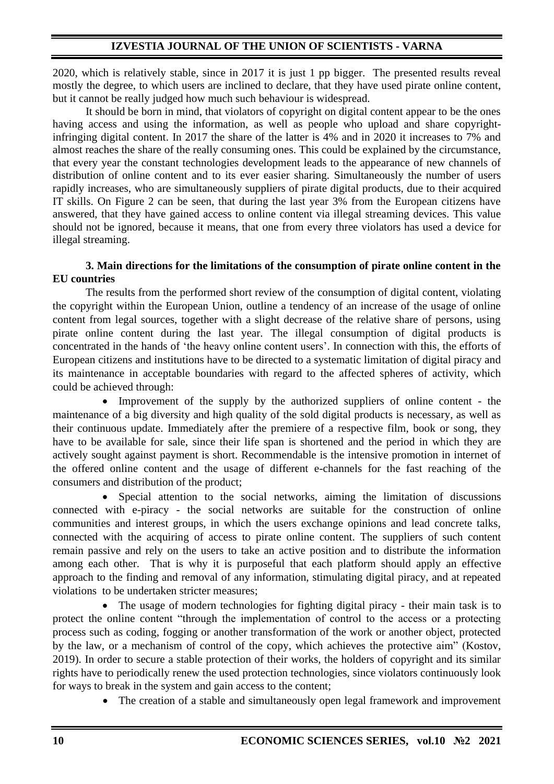2020, which is relatively stable, since in 2017 it is just 1 pp bigger. The presented results reveal mostly the degree, to which users are inclined to declare, that they have used pirate online content, but it cannot be really judged how much such behaviour is widespread.

It should be born in mind, that violators of copyright on digital content appear to be the ones having access and using the information, as well as people who upload and share copyrightinfringing digital content. In 2017 the share of the latter is 4% and in 2020 it increases to 7% and almost reaches the share of the really consuming ones. This could be explained by the circumstance, that every year the constant technologies development leads to the appearance of new channels of distribution of online content and to its ever easier sharing. Simultaneously the number of users rapidly increases, who are simultaneously suppliers of pirate digital products, due to their acquired IT skills. On Figure 2 can be seen, that during the last year 3% from the European citizens have answered, that they have gained access to online content via illegal streaming devices. This value should not be ignored, because it means, that one from every three violators has used a device for illegal streaming.

### **3. Main directions for the limitations of the consumption of pirate online content in the EU countries**

The results from the performed short review of the consumption of digital content, violating the copyright within the European Union, outline a tendency of an increase of the usage of online content from legal sources, together with a slight decrease of the relative share of persons, using pirate online content during the last year. The illegal consumption of digital products is concentrated in the hands of 'the heavy online content users'. In connection with this, the efforts of European citizens and institutions have to be directed to a systematic limitation of digital piracy and its maintenance in acceptable boundaries with regard to the affected spheres of activity, which could be achieved through:

• Improvement of the supply by the authorized suppliers of online content - the maintenance of a big diversity and high quality of the sold digital products is necessary, as well as their continuous update. Immediately after the premiere of a respective film, book or song, they have to be available for sale, since their life span is shortened and the period in which they are actively sought against payment is short. Recommendable is the intensive promotion in internet of the offered online content and the usage of different e-channels for the fast reaching of the consumers and distribution of the product;

• Special attention to the social networks, aiming the limitation of discussions connected with e-piracy - the social networks are suitable for the construction of online communities and interest groups, in which the users exchange opinions and lead concrete talks, connected with the acquiring of access to pirate online content. The suppliers of such content remain passive and rely on the users to take an active position and to distribute the information among each other. That is why it is purposeful that each platform should apply an effective approach to the finding and removal of any information, stimulating digital piracy, and at repeated violations to be undertaken stricter measures;

The usage of modern technologies for fighting digital piracy - their main task is to protect the online content "through the implementation of control to the access or a protecting process such as coding, fogging or another transformation of the work or another object, protected by the law, or a mechanism of control of the copy, which achieves the protective aim" (Kostov, 2019). In order to secure a stable protection of their works, the holders of copyright and its similar rights have to periodically renew the used protection technologies, since violators continuously look for ways to break in the system and gain access to the content;

• The creation of a stable and simultaneously open legal framework and improvement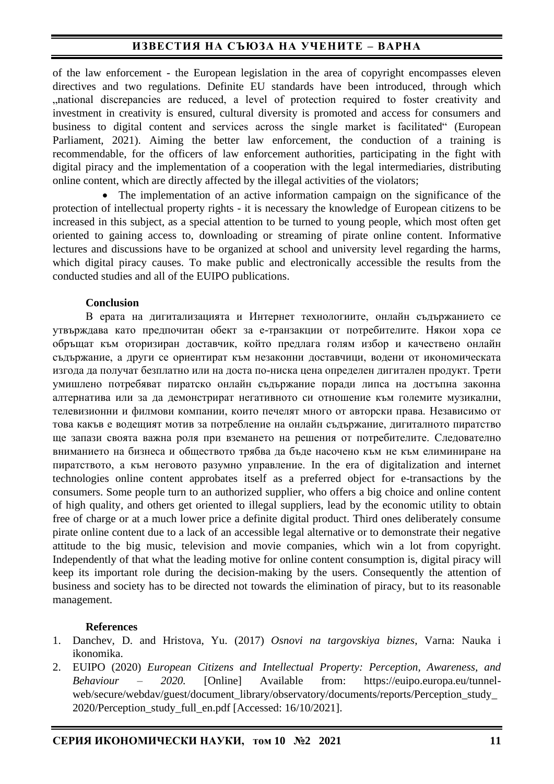## **ИЗВЕСТИЯ НА СЪЮЗА НА УЧЕНИТЕ – ВАРНА**

of the law enforcement - the European legislation in the area of copyright encompasses eleven directives and two regulations. Definite EU standards have been introduced, through which "national discrepancies are reduced, a level of protection required to foster creativity and investment in creativity is ensured, cultural diversity is promoted and access for consumers and business to digital content and services across the single market is facilitated" (European Parliament, 2021). Aiming the better law enforcement, the conduction of a training is recommendable, for the officers of law enforcement authorities, participating in the fight with digital piracy and the implementation of a cooperation with the legal intermediaries, distributing online content, which are directly affected by the illegal activities of the violators;

The implementation of an active information campaign on the significance of the protection of intellectual property rights - it is necessary the knowledge of European citizens to be increased in this subject, as a special attention to be turned to young people, which most often get oriented to gaining access to, downloading or streaming of pirate online content. Informative lectures and discussions have to be organized at school and university level regarding the harms, which digital piracy causes. To make public and electronically accessible the results from the conducted studies and all of the EUIPO publications.

#### **Conclusion**

В ерата на дигитализацията и Интернет технологиите, онлайн съдържанието се утвърждава като предпочитан обект за е-транзакции от потребителите. Някои хора се обръщат към оторизиран доставчик, който предлага голям избор и качествено онлайн съдържание, а други се ориентират към незаконни доставчици, водени от икономическата изгода да получат безплатно или на доста по-ниска цена определен дигитален продукт. Трети умишлено потребяват пиратско онлайн съдържание поради липса на достъпна законна алтернатива или за да демонстрират негативното си отношение към големите музикални, телевизионни и филмови компании, които печелят много от авторски права. Независимо от това какъв е водещият мотив за потребление на онлайн съдържание, дигиталното пиратство ще запази своята важна роля при вземането на решения от потребителите. Следователно вниманието на бизнеса и обществото трябва да бъде насочено към не към елиминиране на пиратството, а към неговото разумно управление. In the era of digitalization and internet technologies online content approbates itself as a preferred object for e-transactions by the consumers. Some people turn to an authorized supplier, who offers a big choice and online content of high quality, and others get oriented to illegal suppliers, lead by the economic utility to obtain free of charge or at a much lower price a definite digital product. Third ones deliberately consume pirate online content due to a lack of an accessible legal alternative or to demonstrate their negative attitude to the big music, television and movie companies, which win a lot from copyright. Independently of that what the leading motive for online content consumption is, digital piracy will keep its important role during the decision-making by the users. Consequently the attention of business and society has to be directed not towards the elimination of piracy, but to its reasonable management.

#### **References**

- 1. Danchev, D. and Hristova, Yu. (2017) *Osnovi na targovskiya biznes*, Varna: Nauka i ikonomika.
- 2. EUIPO (2020) *European Citizens and Intellectual Property: Perception, Awareness, and Behaviour – 2020.* [Online] Available from: https://euipo.europa.eu/tunnelweb/secure/webdav/guest/document\_library/observatory/documents/reports/Perception\_study\_ 2020/Perception\_study\_full\_en.pdf [Accessed: 16/10/2021].